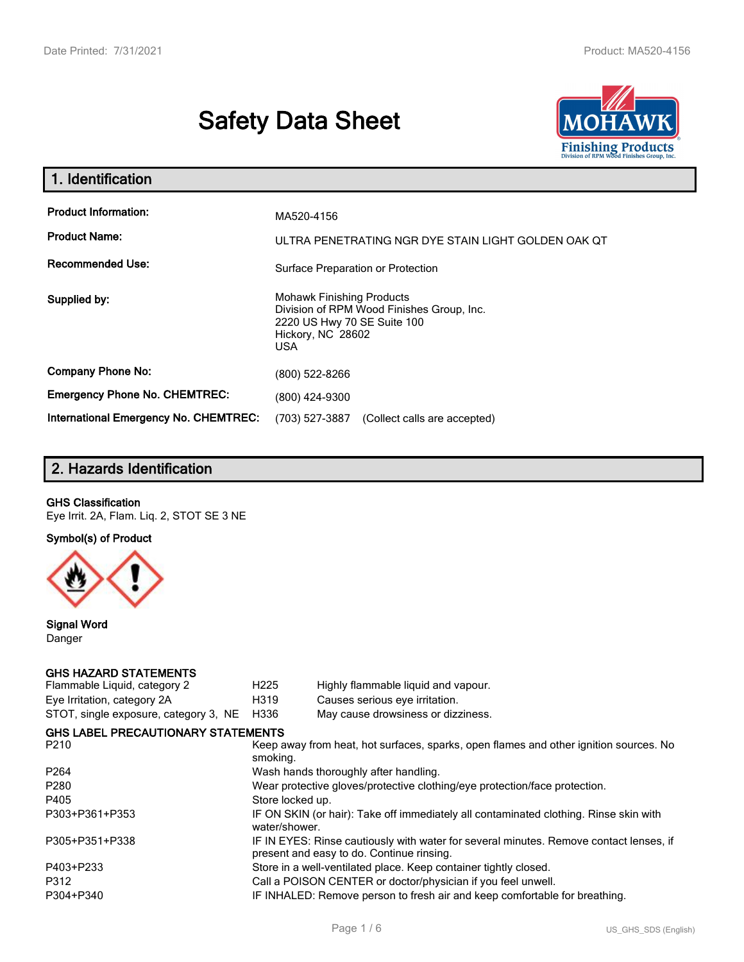# **Safety Data Sheet**



| 1. Identification                                   |                                                                                                                                          |  |
|-----------------------------------------------------|------------------------------------------------------------------------------------------------------------------------------------------|--|
| <b>Product Information:</b><br><b>Product Name:</b> | MA520-4156<br>ULTRA PENETRATING NGR DYE STAIN LIGHT GOLDEN OAK OT                                                                        |  |
| <b>Recommended Use:</b>                             | Surface Preparation or Protection                                                                                                        |  |
| Supplied by:                                        | <b>Mohawk Finishing Products</b><br>Division of RPM Wood Finishes Group, Inc.<br>2220 US Hwy 70 SE Suite 100<br>Hickory, NC 28602<br>USA |  |
| <b>Company Phone No:</b>                            | (800) 522-8266                                                                                                                           |  |
| <b>Emergency Phone No. CHEMTREC:</b>                | (800) 424-9300                                                                                                                           |  |
| International Emergency No. CHEMTREC:               | (703) 527-3887<br>(Collect calls are accepted)                                                                                           |  |

# **2. Hazards Identification**

#### **GHS Classification**

Eye Irrit. 2A, Flam. Liq. 2, STOT SE 3 NE

**Symbol(s) of Product**



**Signal Word** Danger

#### **GHS HAZARD STATEMENTS**

| Flammable Liquid, category 2              | H <sub>225</sub> | Highly flammable liquid and vapour.                                                                                                 |  |  |
|-------------------------------------------|------------------|-------------------------------------------------------------------------------------------------------------------------------------|--|--|
| Eye Irritation, category 2A               | H319             | Causes serious eye irritation.                                                                                                      |  |  |
| STOT, single exposure, category 3, NE     | H336             | May cause drowsiness or dizziness.                                                                                                  |  |  |
| <b>GHS LABEL PRECAUTIONARY STATEMENTS</b> |                  |                                                                                                                                     |  |  |
| P <sub>210</sub>                          | smoking.         | Keep away from heat, hot surfaces, sparks, open flames and other ignition sources. No                                               |  |  |
| P <sub>264</sub>                          |                  | Wash hands thoroughly after handling.                                                                                               |  |  |
| P <sub>280</sub>                          |                  | Wear protective gloves/protective clothing/eye protection/face protection.                                                          |  |  |
| P405                                      | Store locked up. |                                                                                                                                     |  |  |
| P303+P361+P353                            | water/shower.    | IF ON SKIN (or hair): Take off immediately all contaminated clothing. Rinse skin with                                               |  |  |
| P305+P351+P338                            |                  | IF IN EYES: Rinse cautiously with water for several minutes. Remove contact lenses, if<br>present and easy to do. Continue rinsing. |  |  |
| P403+P233                                 |                  | Store in a well-ventilated place. Keep container tightly closed.                                                                    |  |  |
| P312                                      |                  | Call a POISON CENTER or doctor/physician if you feel unwell.                                                                        |  |  |
| P304+P340                                 |                  | IF INHALED: Remove person to fresh air and keep comfortable for breathing.                                                          |  |  |
|                                           |                  |                                                                                                                                     |  |  |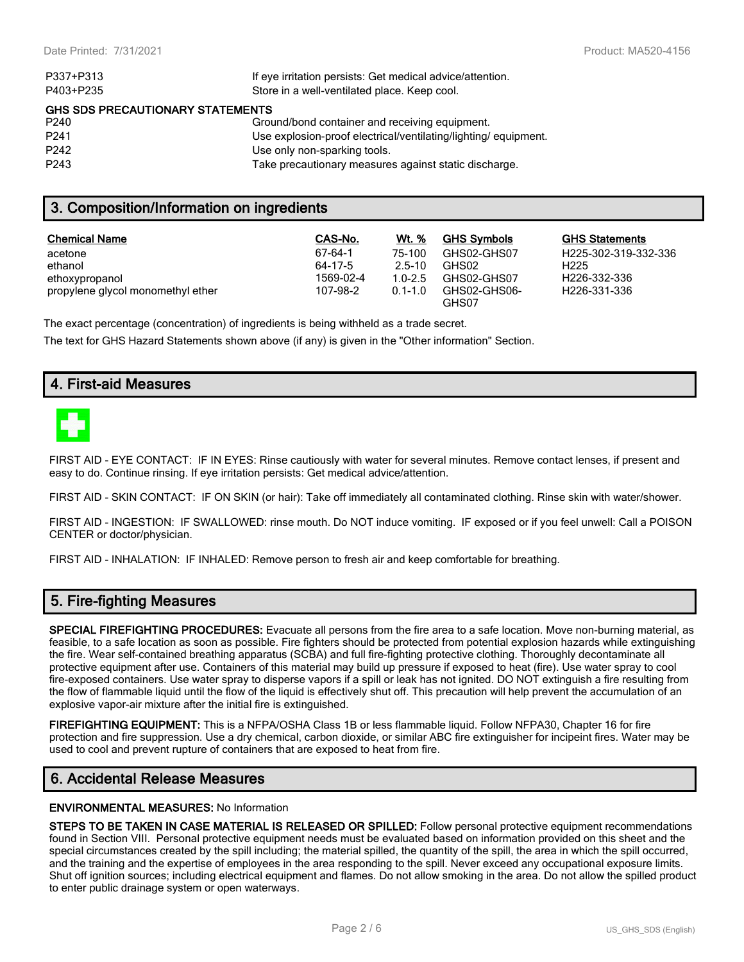| P337+P313                        | If eye irritation persists: Get medical advice/attention.      |
|----------------------------------|----------------------------------------------------------------|
| P403+P235                        | Store in a well-ventilated place. Keep cool.                   |
| GHS SDS PRECAUTIONARY STATEMENTS |                                                                |
| P240                             | Ground/bond container and receiving equipment.                 |
| P <sub>241</sub>                 | Use explosion-proof electrical/ventilating/lighting/equipment. |
| P <sub>242</sub>                 | Use only non-sparking tools.                                   |
| P <sub>243</sub>                 | Take precautionary measures against static discharge.          |

## **3. Composition/Information on ingredients**

| <b>Chemical Name</b>              | CAS-No.   | Wt. %       | <b>GHS Symbols</b>    | <b>GHS Statements</b>     |
|-----------------------------------|-----------|-------------|-----------------------|---------------------------|
| acetone                           | 67-64-1   | 75-100      | GHS02-GHS07           | H225-302-319-332-336      |
| ethanol                           | 64-17-5   | $25-10$     | GHS02                 | H <sub>225</sub>          |
| ethoxypropanol                    | 1569-02-4 | $1.0 - 2.5$ | GHS02-GHS07           | H <sub>226</sub> -332-336 |
| propylene glycol monomethyl ether | 107-98-2  | $0.1 - 1.0$ | GHS02-GHS06-<br>GHS07 | H226-331-336              |

The exact percentage (concentration) of ingredients is being withheld as a trade secret.

The text for GHS Hazard Statements shown above (if any) is given in the "Other information" Section.

## **4. First-aid Measures**



FIRST AID - EYE CONTACT: IF IN EYES: Rinse cautiously with water for several minutes. Remove contact lenses, if present and easy to do. Continue rinsing. If eye irritation persists: Get medical advice/attention.

FIRST AID - SKIN CONTACT: IF ON SKIN (or hair): Take off immediately all contaminated clothing. Rinse skin with water/shower.

FIRST AID - INGESTION: IF SWALLOWED: rinse mouth. Do NOT induce vomiting. IF exposed or if you feel unwell: Call a POISON CENTER or doctor/physician.

FIRST AID - INHALATION: IF INHALED: Remove person to fresh air and keep comfortable for breathing.

## **5. Fire-fighting Measures**

**SPECIAL FIREFIGHTING PROCEDURES:** Evacuate all persons from the fire area to a safe location. Move non-burning material, as feasible, to a safe location as soon as possible. Fire fighters should be protected from potential explosion hazards while extinguishing the fire. Wear self-contained breathing apparatus (SCBA) and full fire-fighting protective clothing. Thoroughly decontaminate all protective equipment after use. Containers of this material may build up pressure if exposed to heat (fire). Use water spray to cool fire-exposed containers. Use water spray to disperse vapors if a spill or leak has not ignited. DO NOT extinguish a fire resulting from the flow of flammable liquid until the flow of the liquid is effectively shut off. This precaution will help prevent the accumulation of an explosive vapor-air mixture after the initial fire is extinguished.

**FIREFIGHTING EQUIPMENT:** This is a NFPA/OSHA Class 1B or less flammable liquid. Follow NFPA30, Chapter 16 for fire protection and fire suppression. Use a dry chemical, carbon dioxide, or similar ABC fire extinguisher for incipeint fires. Water may be used to cool and prevent rupture of containers that are exposed to heat from fire.

#### **6. Accidental Release Measures**

#### **ENVIRONMENTAL MEASURES:** No Information

**STEPS TO BE TAKEN IN CASE MATERIAL IS RELEASED OR SPILLED:** Follow personal protective equipment recommendations found in Section VIII. Personal protective equipment needs must be evaluated based on information provided on this sheet and the special circumstances created by the spill including; the material spilled, the quantity of the spill, the area in which the spill occurred, and the training and the expertise of employees in the area responding to the spill. Never exceed any occupational exposure limits. Shut off ignition sources; including electrical equipment and flames. Do not allow smoking in the area. Do not allow the spilled product to enter public drainage system or open waterways.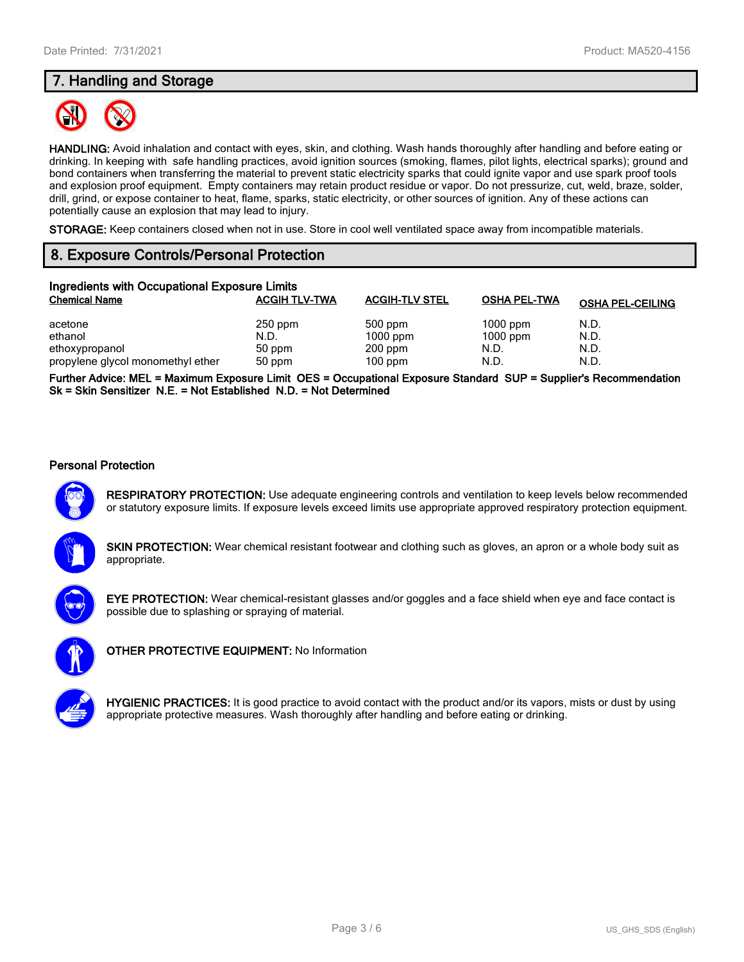# **7. Handling and Storage**



**HANDLING:** Avoid inhalation and contact with eyes, skin, and clothing. Wash hands thoroughly after handling and before eating or drinking. In keeping with safe handling practices, avoid ignition sources (smoking, flames, pilot lights, electrical sparks); ground and bond containers when transferring the material to prevent static electricity sparks that could ignite vapor and use spark proof tools and explosion proof equipment. Empty containers may retain product residue or vapor. Do not pressurize, cut, weld, braze, solder, drill, grind, or expose container to heat, flame, sparks, static electricity, or other sources of ignition. Any of these actions can potentially cause an explosion that may lead to injury.

**STORAGE:** Keep containers closed when not in use. Store in cool well ventilated space away from incompatible materials.

# **8. Exposure Controls/Personal Protection**

| Ingredients with Occupational Exposure Limits |                      |                       |                     |                         |  |  |
|-----------------------------------------------|----------------------|-----------------------|---------------------|-------------------------|--|--|
| <b>Chemical Name</b>                          | <b>ACGIH TLV-TWA</b> | <b>ACGIH-TLV STEL</b> | <b>OSHA PEL-TWA</b> | <b>OSHA PEL-CEILING</b> |  |  |
| acetone                                       | $250$ ppm            | 500 ppm               | $1000$ ppm          | N.D.                    |  |  |
| ethanol                                       | N.D.                 | $1000$ ppm            | $1000$ ppm          | N.D.                    |  |  |
| ethoxypropanol                                | 50 ppm               | $200$ ppm             | N.D.                | N.D.                    |  |  |
| propylene glycol monomethyl ether             | 50 ppm               | $100$ ppm             | N.D.                | N.D.                    |  |  |

**Further Advice: MEL = Maximum Exposure Limit OES = Occupational Exposure Standard SUP = Supplier's Recommendation Sk = Skin Sensitizer N.E. = Not Established N.D. = Not Determined**

#### **Personal Protection**



**RESPIRATORY PROTECTION:** Use adequate engineering controls and ventilation to keep levels below recommended or statutory exposure limits. If exposure levels exceed limits use appropriate approved respiratory protection equipment.

**SKIN PROTECTION:** Wear chemical resistant footwear and clothing such as gloves, an apron or a whole body suit as appropriate.



**EYE PROTECTION:** Wear chemical-resistant glasses and/or goggles and a face shield when eye and face contact is possible due to splashing or spraying of material.



**OTHER PROTECTIVE EQUIPMENT:** No Information



**HYGIENIC PRACTICES:** It is good practice to avoid contact with the product and/or its vapors, mists or dust by using appropriate protective measures. Wash thoroughly after handling and before eating or drinking.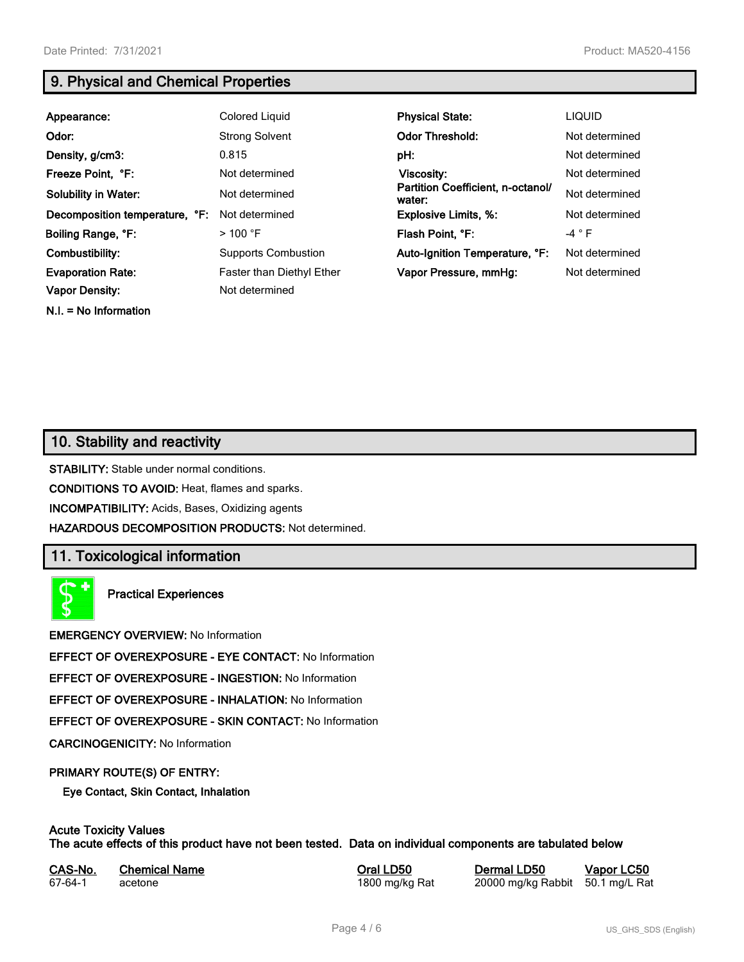**N.I. = No Information**

# **9. Physical and Chemical Properties**

| Appearance:                    | Colored Liquid                   | <b>Physical State:</b>                      | <b>LIQUID</b>  |
|--------------------------------|----------------------------------|---------------------------------------------|----------------|
| Odor:                          | <b>Strong Solvent</b>            | <b>Odor Threshold:</b>                      | Not determined |
| Density, g/cm3:                | 0.815                            | pH:                                         | Not determined |
| Freeze Point, °F:              | Not determined                   | Viscosity:                                  | Not determined |
| <b>Solubility in Water:</b>    | Not determined                   | Partition Coefficient, n-octanol/<br>water: | Not determined |
| Decomposition temperature, °F: | Not determined                   | <b>Explosive Limits, %:</b>                 | Not determined |
| Boiling Range, °F:             | $>$ 100 °F                       | Flash Point, °F:                            | $-4 ° F$       |
| Combustibility:                | <b>Supports Combustion</b>       | Auto-Ignition Temperature, °F:              | Not determined |
| <b>Evaporation Rate:</b>       | <b>Faster than Diethyl Ether</b> | Vapor Pressure, mmHg:                       | Not determined |
| <b>Vapor Density:</b>          | Not determined                   |                                             |                |

# **10. Stability and reactivity**

**STABILITY:** Stable under normal conditions.

**CONDITIONS TO AVOID:** Heat, flames and sparks.

**INCOMPATIBILITY:** Acids, Bases, Oxidizing agents

**HAZARDOUS DECOMPOSITION PRODUCTS:** Not determined.

# **11. Toxicological information**

**Practical Experiences**

**EMERGENCY OVERVIEW:** No Information

**EFFECT OF OVEREXPOSURE - EYE CONTACT:** No Information

**EFFECT OF OVEREXPOSURE - INGESTION:** No Information

**EFFECT OF OVEREXPOSURE - INHALATION:** No Information

**EFFECT OF OVEREXPOSURE - SKIN CONTACT:** No Information

**CARCINOGENICITY:** No Information

#### **PRIMARY ROUTE(S) OF ENTRY:**

**Eye Contact, Skin Contact, Inhalation**

# **Acute Toxicity Values**

**The acute effects of this product have not been tested. Data on individual components are tabulated below**

| CAS-No. | <b>Chemical Name</b> |
|---------|----------------------|
| 67-64-1 | acetone              |

**Casary Chemical Chemical LD50 Chemical LD50 Vapor LC50** 1800 mg/kg Rat 20000 mg/kg Rabbit 50.1 mg/L Rat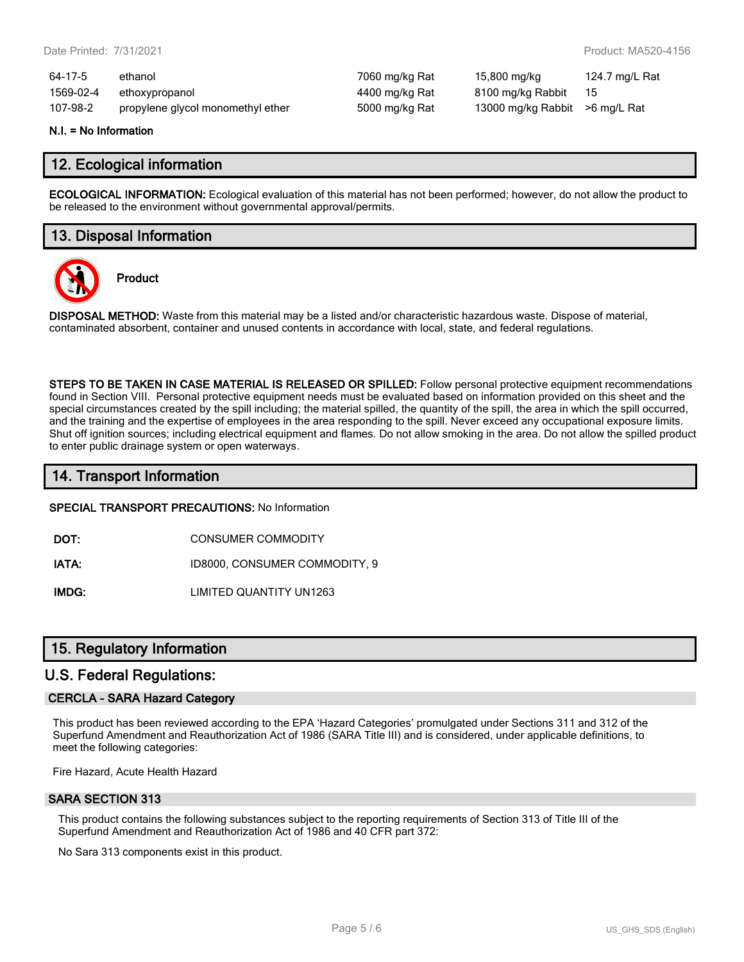| 64-17-5   | ethanol                           | 7060 mg/kg Rat | 15,800 mg/kg                   | 124.7 mg/L Rat |
|-----------|-----------------------------------|----------------|--------------------------------|----------------|
| 1569-02-4 | ethoxypropanol                    | 4400 mg/kg Rat | 8100 mg/kg Rabbit              | - 15           |
| 107-98-2  | propylene glycol monomethyl ether | 5000 mg/kg Rat | 13000 mg/kg Rabbit >6 mg/L Rat |                |

#### **N.I. = No Information**

#### **12. Ecological information**

**ECOLOGICAL INFORMATION:** Ecological evaluation of this material has not been performed; however, do not allow the product to be released to the environment without governmental approval/permits.

#### **13. Disposal Information**



**Product**

**DISPOSAL METHOD:** Waste from this material may be a listed and/or characteristic hazardous waste. Dispose of material, contaminated absorbent, container and unused contents in accordance with local, state, and federal regulations.

**STEPS TO BE TAKEN IN CASE MATERIAL IS RELEASED OR SPILLED:** Follow personal protective equipment recommendations found in Section VIII. Personal protective equipment needs must be evaluated based on information provided on this sheet and the special circumstances created by the spill including; the material spilled, the quantity of the spill, the area in which the spill occurred, and the training and the expertise of employees in the area responding to the spill. Never exceed any occupational exposure limits. Shut off ignition sources; including electrical equipment and flames. Do not allow smoking in the area. Do not allow the spilled product to enter public drainage system or open waterways.

### **14. Transport Information**

#### **SPECIAL TRANSPORT PRECAUTIONS:** No Information

**DOT:** CONSUMER COMMODITY

**IATA:** ID8000, CONSUMER COMMODITY, 9

**IMDG:** LIMITED QUANTITY UN1263

#### **15. Regulatory Information**

#### **U.S. Federal Regulations:**

#### **CERCLA - SARA Hazard Category**

This product has been reviewed according to the EPA 'Hazard Categories' promulgated under Sections 311 and 312 of the Superfund Amendment and Reauthorization Act of 1986 (SARA Title III) and is considered, under applicable definitions, to meet the following categories:

Fire Hazard, Acute Health Hazard

#### **SARA SECTION 313**

This product contains the following substances subject to the reporting requirements of Section 313 of Title III of the Superfund Amendment and Reauthorization Act of 1986 and 40 CFR part 372:

No Sara 313 components exist in this product.